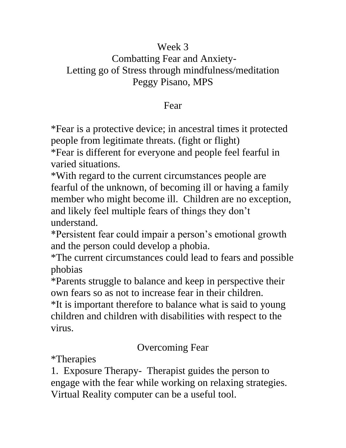# Week 3

### Combatting Fear and Anxiety-Letting go of Stress through mindfulness/meditation Peggy Pisano, MPS

#### Fear

\*Fear is a protective device; in ancestral times it protected people from legitimate threats. (fight or flight)

\*Fear is different for everyone and people feel fearful in varied situations.

\*With regard to the current circumstances people are fearful of the unknown, of becoming ill or having a family member who might become ill. Children are no exception, and likely feel multiple fears of things they don't understand.

\*Persistent fear could impair a person's emotional growth and the person could develop a phobia.

\*The current circumstances could lead to fears and possible phobias

\*Parents struggle to balance and keep in perspective their own fears so as not to increase fear in their children.

\*It is important therefore to balance what is said to young children and children with disabilities with respect to the virus.

# Overcoming Fear

\*Therapies

1. Exposure Therapy- Therapist guides the person to engage with the fear while working on relaxing strategies. Virtual Reality computer can be a useful tool.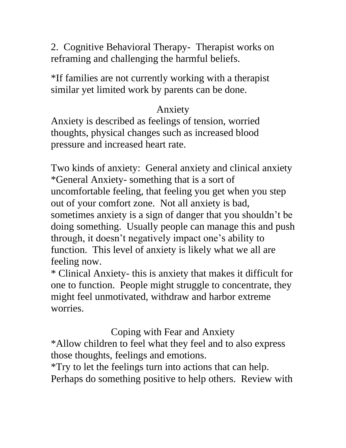2. Cognitive Behavioral Therapy- Therapist works on reframing and challenging the harmful beliefs.

\*If families are not currently working with a therapist similar yet limited work by parents can be done.

### Anxiety

Anxiety is described as feelings of tension, worried thoughts, physical changes such as increased blood pressure and increased heart rate.

Two kinds of anxiety: General anxiety and clinical anxiety \*General Anxiety- something that is a sort of uncomfortable feeling, that feeling you get when you step out of your comfort zone. Not all anxiety is bad, sometimes anxiety is a sign of danger that you shouldn't be doing something. Usually people can manage this and push through, it doesn't negatively impact one's ability to function. This level of anxiety is likely what we all are feeling now.

\* Clinical Anxiety- this is anxiety that makes it difficult for one to function. People might struggle to concentrate, they might feel unmotivated, withdraw and harbor extreme worries.

Coping with Fear and Anxiety

\*Allow children to feel what they feel and to also express those thoughts, feelings and emotions.

\*Try to let the feelings turn into actions that can help. Perhaps do something positive to help others. Review with